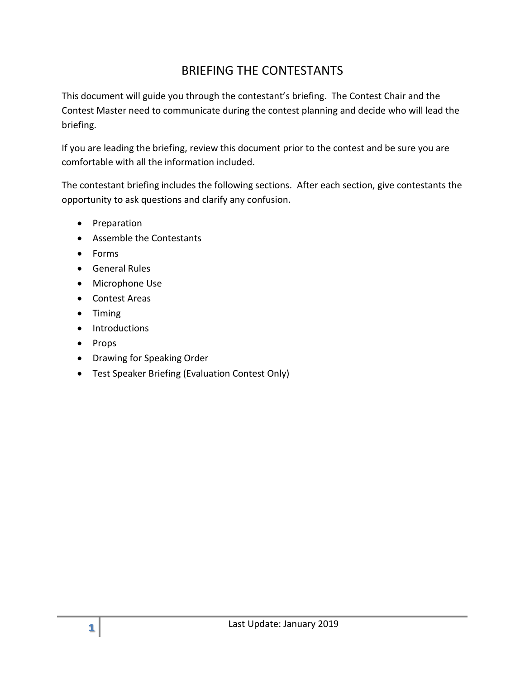# BRIEFING THE CONTESTANTS

This document will guide you through the contestant's briefing. The Contest Chair and the Contest Master need to communicate during the contest planning and decide who will lead the briefing.

If you are leading the briefing, review this document prior to the contest and be sure you are comfortable with all the information included.

The contestant briefing includes the following sections. After each section, give contestants the opportunity to ask questions and clarify any confusion.

- Preparation
- Assemble the Contestants
- Forms
- General Rules
- Microphone Use
- Contest Areas
- $\bullet$  Timing
- Introductions
- Props
- Drawing for Speaking Order
- Test Speaker Briefing (Evaluation Contest Only)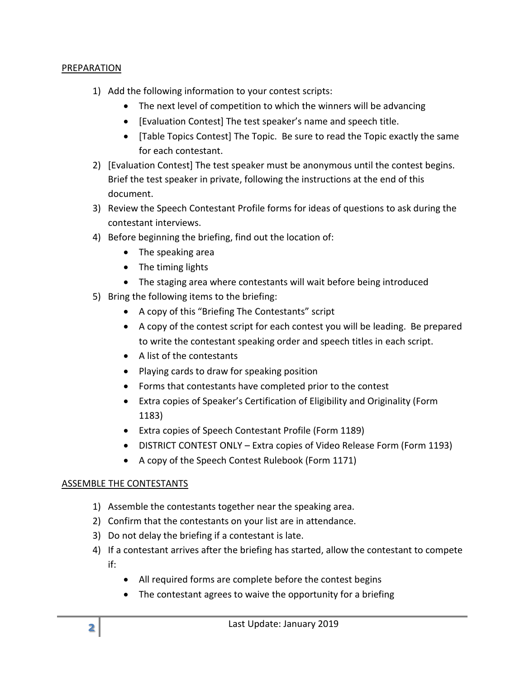## PREPARATION

- 1) Add the following information to your contest scripts:
	- The next level of competition to which the winners will be advancing
	- [Evaluation Contest] The test speaker's name and speech title.
	- [Table Topics Contest] The Topic. Be sure to read the Topic exactly the same for each contestant.
- 2) [Evaluation Contest] The test speaker must be anonymous until the contest begins. Brief the test speaker in private, following the instructions at the end of this document.
- 3) Review the Speech Contestant Profile forms for ideas of questions to ask during the contestant interviews.
- 4) Before beginning the briefing, find out the location of:
	- The speaking area
	- The timing lights
	- The staging area where contestants will wait before being introduced
- 5) Bring the following items to the briefing:
	- A copy of this "Briefing The Contestants" script
	- A copy of the contest script for each contest you will be leading. Be prepared to write the contestant speaking order and speech titles in each script.
	- A list of the contestants
	- Playing cards to draw for speaking position
	- Forms that contestants have completed prior to the contest
	- Extra copies of Speaker's Certification of Eligibility and Originality (Form 1183)
	- Extra copies of Speech Contestant Profile (Form 1189)
	- DISTRICT CONTEST ONLY Extra copies of Video Release Form (Form 1193)
	- A copy of the Speech Contest Rulebook (Form 1171)

# ASSEMBLE THE CONTESTANTS

- 1) Assemble the contestants together near the speaking area.
- 2) Confirm that the contestants on your list are in attendance.
- 3) Do not delay the briefing if a contestant is late.
- 4) If a contestant arrives after the briefing has started, allow the contestant to compete if:
	- All required forms are complete before the contest begins
	- The contestant agrees to waive the opportunity for a briefing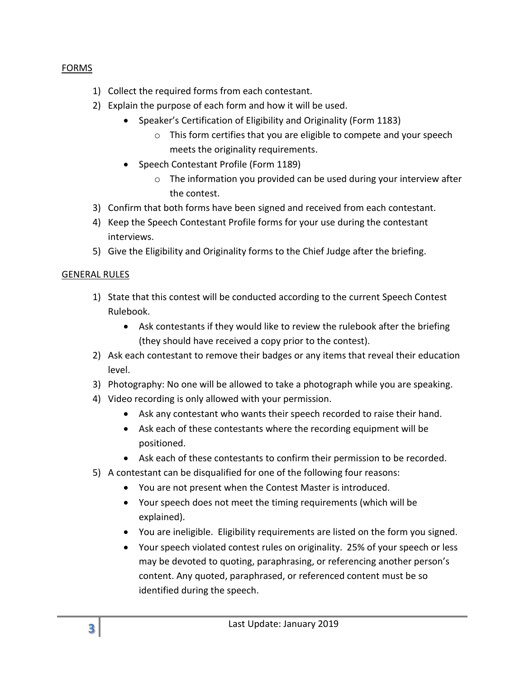# FORMS

- 1) Collect the required forms from each contestant.
- 2) Explain the purpose of each form and how it will be used.
	- Speaker's Certification of Eligibility and Originality (Form 1183)
		- o This form certifies that you are eligible to compete and your speech meets the originality requirements.
	- Speech Contestant Profile (Form 1189)
		- o The information you provided can be used during your interview after the contest.
- 3) Confirm that both forms have been signed and received from each contestant.
- 4) Keep the Speech Contestant Profile forms for your use during the contestant interviews.
- 5) Give the Eligibility and Originality forms to the Chief Judge after the briefing.

# GENERAL RULES

- 1) State that this contest will be conducted according to the current Speech Contest Rulebook.
	- Ask contestants if they would like to review the rulebook after the briefing (they should have received a copy prior to the contest).
- 2) Ask each contestant to remove their badges or any items that reveal their education level.
- 3) Photography: No one will be allowed to take a photograph while you are speaking.
- 4) Video recording is only allowed with your permission.
	- Ask any contestant who wants their speech recorded to raise their hand.
	- Ask each of these contestants where the recording equipment will be positioned.
	- Ask each of these contestants to confirm their permission to be recorded.
- 5) A contestant can be disqualified for one of the following four reasons:
	- You are not present when the Contest Master is introduced.
	- Your speech does not meet the timing requirements (which will be explained).
	- You are ineligible. Eligibility requirements are listed on the form you signed.
	- Your speech violated contest rules on originality. 25% of your speech or less may be devoted to quoting, paraphrasing, or referencing another person's content. Any quoted, paraphrased, or referenced content must be so identified during the speech.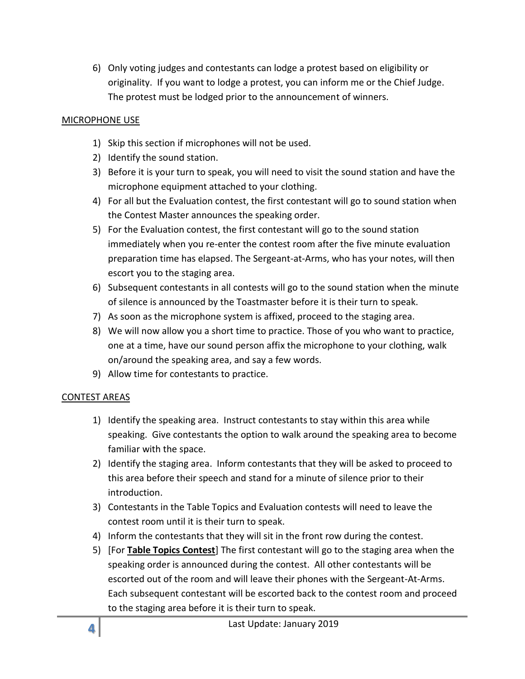6) Only voting judges and contestants can lodge a protest based on eligibility or originality. If you want to lodge a protest, you can inform me or the Chief Judge. The protest must be lodged prior to the announcement of winners.

## MICROPHONE USE

- 1) Skip this section if microphones will not be used.
- 2) Identify the sound station.
- 3) Before it is your turn to speak, you will need to visit the sound station and have the microphone equipment attached to your clothing.
- 4) For all but the Evaluation contest, the first contestant will go to sound station when the Contest Master announces the speaking order.
- 5) For the Evaluation contest, the first contestant will go to the sound station immediately when you re-enter the contest room after the five minute evaluation preparation time has elapsed. The Sergeant-at-Arms, who has your notes, will then escort you to the staging area.
- 6) Subsequent contestants in all contests will go to the sound station when the minute of silence is announced by the Toastmaster before it is their turn to speak.
- 7) As soon as the microphone system is affixed, proceed to the staging area.
- 8) We will now allow you a short time to practice. Those of you who want to practice, one at a time, have our sound person affix the microphone to your clothing, walk on/around the speaking area, and say a few words.
- 9) Allow time for contestants to practice.

## CONTEST AREAS

- 1) Identify the speaking area. Instruct contestants to stay within this area while speaking. Give contestants the option to walk around the speaking area to become familiar with the space.
- 2) Identify the staging area. Inform contestants that they will be asked to proceed to this area before their speech and stand for a minute of silence prior to their introduction.
- 3) Contestants in the Table Topics and Evaluation contests will need to leave the contest room until it is their turn to speak.
- 4) Inform the contestants that they will sit in the front row during the contest.
- 5) [For **Table Topics Contest**] The first contestant will go to the staging area when the speaking order is announced during the contest. All other contestants will be escorted out of the room and will leave their phones with the Sergeant-At-Arms. Each subsequent contestant will be escorted back to the contest room and proceed to the staging area before it is their turn to speak.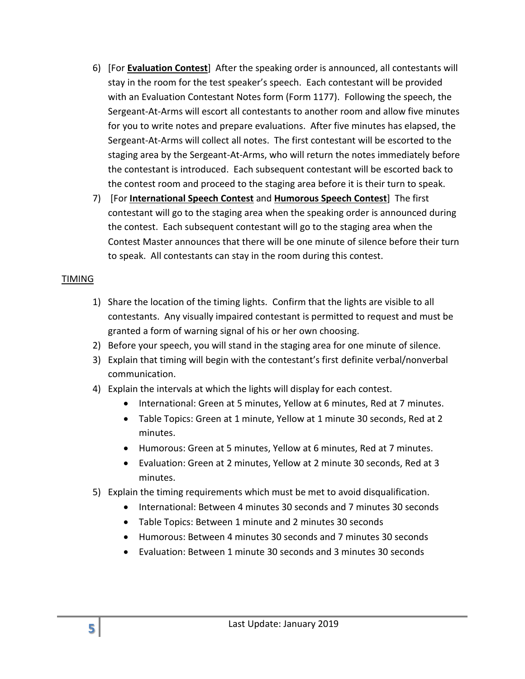- 6) [For **Evaluation Contest**] After the speaking order is announced, all contestants will stay in the room for the test speaker's speech. Each contestant will be provided with an Evaluation Contestant Notes form (Form 1177). Following the speech, the Sergeant-At-Arms will escort all contestants to another room and allow five minutes for you to write notes and prepare evaluations. After five minutes has elapsed, the Sergeant-At-Arms will collect all notes. The first contestant will be escorted to the staging area by the Sergeant-At-Arms, who will return the notes immediately before the contestant is introduced. Each subsequent contestant will be escorted back to the contest room and proceed to the staging area before it is their turn to speak.
- 7) [For **International Speech Contest** and **Humorous Speech Contest**] The first contestant will go to the staging area when the speaking order is announced during the contest. Each subsequent contestant will go to the staging area when the Contest Master announces that there will be one minute of silence before their turn to speak. All contestants can stay in the room during this contest.

#### TIMING

- 1) Share the location of the timing lights. Confirm that the lights are visible to all contestants. Any visually impaired contestant is permitted to request and must be granted a form of warning signal of his or her own choosing.
- 2) Before your speech, you will stand in the staging area for one minute of silence.
- 3) Explain that timing will begin with the contestant's first definite verbal/nonverbal communication.
- 4) Explain the intervals at which the lights will display for each contest.
	- International: Green at 5 minutes, Yellow at 6 minutes, Red at 7 minutes.
	- Table Topics: Green at 1 minute, Yellow at 1 minute 30 seconds, Red at 2 minutes.
	- Humorous: Green at 5 minutes, Yellow at 6 minutes, Red at 7 minutes.
	- Evaluation: Green at 2 minutes, Yellow at 2 minute 30 seconds, Red at 3 minutes.
- 5) Explain the timing requirements which must be met to avoid disqualification.
	- International: Between 4 minutes 30 seconds and 7 minutes 30 seconds
	- Table Topics: Between 1 minute and 2 minutes 30 seconds
	- Humorous: Between 4 minutes 30 seconds and 7 minutes 30 seconds
	- Evaluation: Between 1 minute 30 seconds and 3 minutes 30 seconds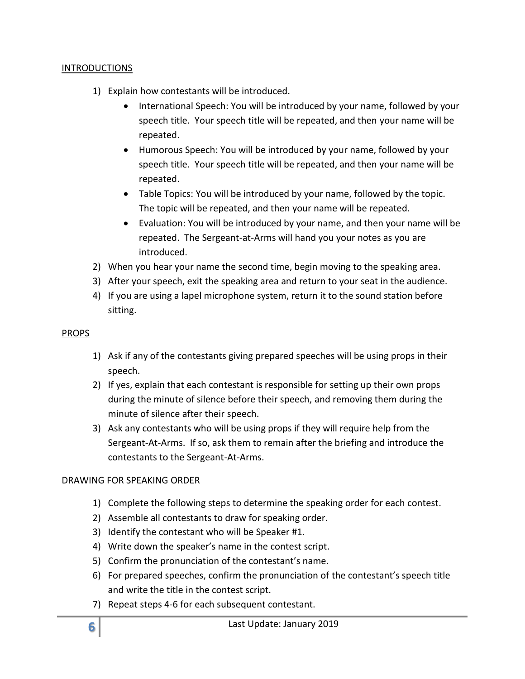### INTRODUCTIONS

- 1) Explain how contestants will be introduced.
	- International Speech: You will be introduced by your name, followed by your speech title. Your speech title will be repeated, and then your name will be repeated.
	- Humorous Speech: You will be introduced by your name, followed by your speech title. Your speech title will be repeated, and then your name will be repeated.
	- Table Topics: You will be introduced by your name, followed by the topic. The topic will be repeated, and then your name will be repeated.
	- Evaluation: You will be introduced by your name, and then your name will be repeated. The Sergeant-at-Arms will hand you your notes as you are introduced.
- 2) When you hear your name the second time, begin moving to the speaking area.
- 3) After your speech, exit the speaking area and return to your seat in the audience.
- 4) If you are using a lapel microphone system, return it to the sound station before sitting.

#### PROPS

- 1) Ask if any of the contestants giving prepared speeches will be using props in their speech.
- 2) If yes, explain that each contestant is responsible for setting up their own props during the minute of silence before their speech, and removing them during the minute of silence after their speech.
- 3) Ask any contestants who will be using props if they will require help from the Sergeant-At-Arms. If so, ask them to remain after the briefing and introduce the contestants to the Sergeant-At-Arms.

## DRAWING FOR SPEAKING ORDER

- 1) Complete the following steps to determine the speaking order for each contest.
- 2) Assemble all contestants to draw for speaking order.
- 3) Identify the contestant who will be Speaker #1.
- 4) Write down the speaker's name in the contest script.
- 5) Confirm the pronunciation of the contestant's name.
- 6) For prepared speeches, confirm the pronunciation of the contestant's speech title and write the title in the contest script.
- 7) Repeat steps 4-6 for each subsequent contestant.